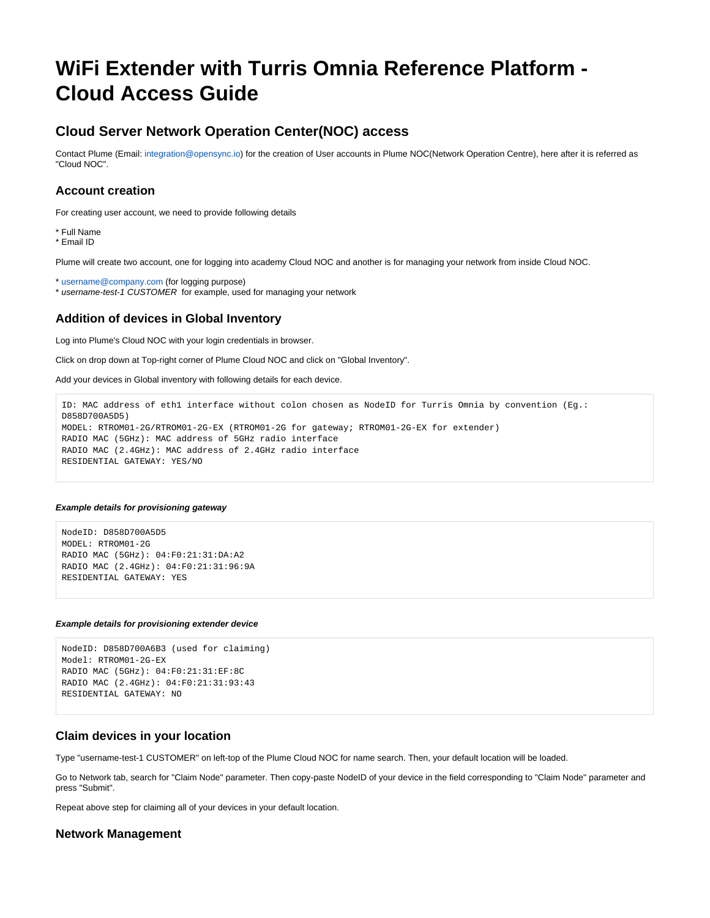# **WiFi Extender with Turris Omnia Reference Platform - Cloud Access Guide**

## **Cloud Server Network Operation Center(NOC) access**

Contact Plume (Email: [integration@opensync.io](mailto:integration@opensync.io)) for the creation of User accounts in Plume NOC(Network Operation Centre), here after it is referred as "Cloud NOC".

## **Account creation**

For creating user account, we need to provide following details

\* Full Name

\* Email ID

Plume will create two account, one for logging into academy Cloud NOC and another is for managing your network from inside Cloud NOC.

\* [username@company.com](mailto:username@company.com) (for logging purpose)

\* username-test-1 CUSTOMER for example, used for managing your network

## **Addition of devices in Global Inventory**

Log into Plume's Cloud NOC with your login credentials in browser.

Click on drop down at Top-right corner of Plume Cloud NOC and click on "Global Inventory".

Add your devices in Global inventory with following details for each device.

```
ID: MAC address of ethl interface without colon chosen as NodeID for Turris Omnia by convention (Eg.:
D858D700A5D5)
MODEL: RTROM01-2G/RTROM01-2G-EX (RTROM01-2G for gateway; RTROM01-2G-EX for extender)
RADIO MAC (5GHz): MAC address of 5GHz radio interface
RADIO MAC (2.4GHz): MAC address of 2.4GHz radio interface
RESIDENTIAL GATEWAY: YES/NO
```
#### **Example details for provisioning gateway**

```
NodeID: D858D700A5D5
MODEL: RTROM01-2G
RADIO MAC (5GHz): 04:F0:21:31:DA:A2
RADIO MAC (2.4GHz): 04:F0:21:31:96:9A
RESIDENTIAL GATEWAY: YES
```
#### **Example details for provisioning extender device**

```
NodeID: D858D700A6B3 (used for claiming)
Model: RTROM01-2G-EX
RADIO MAC (5GHz): 04:F0:21:31:EF:8C
RADIO MAC (2.4GHz): 04:F0:21:31:93:43
RESIDENTIAL GATEWAY: NO
```
## **Claim devices in your location**

Type "username-test-1 CUSTOMER" on left-top of the Plume Cloud NOC for name search. Then, your default location will be loaded.

Go to Network tab, search for "Claim Node" parameter. Then copy-paste NodeID of your device in the field corresponding to "Claim Node" parameter and press "Submit".

Repeat above step for claiming all of your devices in your default location.

### **Network Management**